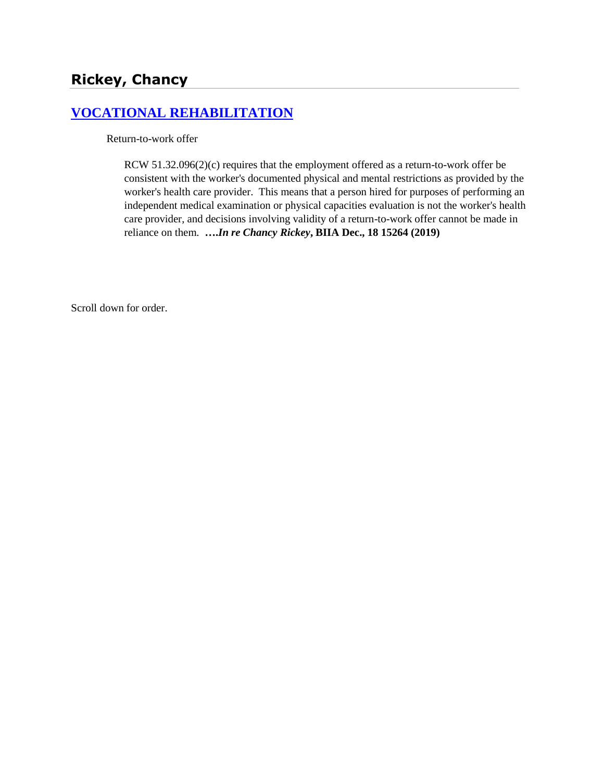# **[VOCATIONAL REHABILITATION](http://www.biia.wa.gov/SDSubjectIndex.html#VOCATIONAL_REHABILITATION)**

Return-to-work offer

[RCW 51.32.096\(2\)\(](https://1.next.westlaw.com/Link/Document/FullText?findType=L&pubNum=1000259&cite=WAST51.32.099&originatingDoc=Ie666d6c739c911eaadfea82903531a62&refType=LQ&originationContext=document&transitionType=DocumentItem&contextData=(sc.Default))c) requires that the employment offered as a return-to-work offer be consistent with the worker's documented physical and mental restrictions as provided by the worker's health care provider. This means that a person hired for purposes of performing an independent medical examination or physical capacities evaluation is not the worker's health care provider, and decisions involving validity of a return-to-work offer cannot be made in reliance on them. **….***In re Chancy Rickey***, BIIA Dec., 18 15264 (2019)**

Scroll down for order.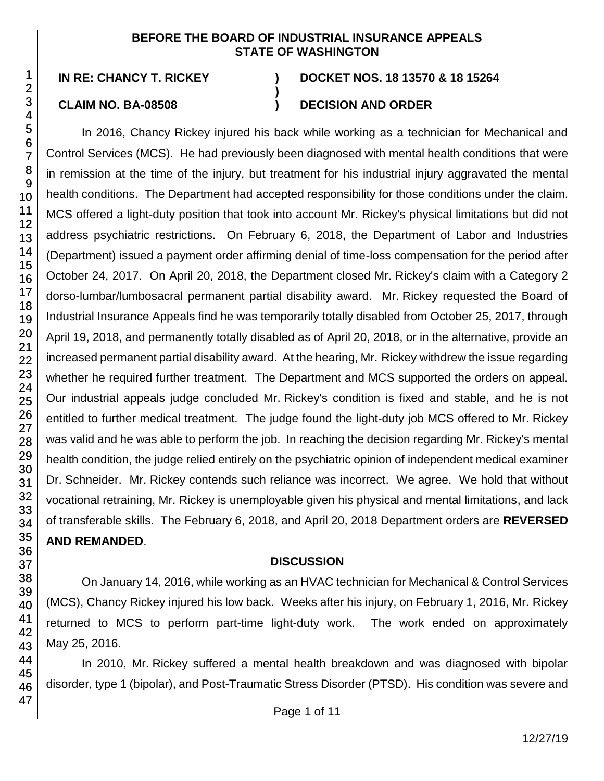#### **BEFORE THE BOARD OF INDUSTRIAL INSURANCE APPEALS STATE OF WASHINGTON**

**)**

#### **IN RE: CHANCY T. RICKEY ) DOCKET NOS. 18 13570 & 18 15264**

## **CLAIM NO. BA-08508 ) DECISION AND ORDER**

In 2016, Chancy Rickey injured his back while working as a technician for Mechanical and Control Services (MCS). He had previously been diagnosed with mental health conditions that were in remission at the time of the injury, but treatment for his industrial injury aggravated the mental health conditions. The Department had accepted responsibility for those conditions under the claim. MCS offered a light-duty position that took into account Mr. Rickey's physical limitations but did not address psychiatric restrictions. On February 6, 2018, the Department of Labor and Industries (Department) issued a payment order affirming denial of time-loss compensation for the period after October 24, 2017. On April 20, 2018, the Department closed Mr. Rickey's claim with a Category 2 dorso-lumbar/lumbosacral permanent partial disability award. Mr. Rickey requested the Board of Industrial Insurance Appeals find he was temporarily totally disabled from October 25, 2017, through April 19, 2018, and permanently totally disabled as of April 20, 2018, or in the alternative, provide an increased permanent partial disability award. At the hearing, Mr. Rickey withdrew the issue regarding whether he required further treatment. The Department and MCS supported the orders on appeal. Our industrial appeals judge concluded Mr. Rickey's condition is fixed and stable, and he is not entitled to further medical treatment. The judge found the light-duty job MCS offered to Mr. Rickey was valid and he was able to perform the job. In reaching the decision regarding Mr. Rickey's mental health condition, the judge relied entirely on the psychiatric opinion of independent medical examiner Dr. Schneider. Mr. Rickey contends such reliance was incorrect. We agree. We hold that without vocational retraining, Mr. Rickey is unemployable given his physical and mental limitations, and lack of transferable skills. The February 6, 2018, and April 20, 2018 Department orders are **REVERSED AND REMANDED**.

#### **DISCUSSION**

On January 14, 2016, while working as an HVAC technician for Mechanical & Control Services (MCS), Chancy Rickey injured his low back. Weeks after his injury, on February 1, 2016, Mr. Rickey returned to MCS to perform part-time light-duty work. The work ended on approximately May 25, 2016.

In 2010, Mr. Rickey suffered a mental health breakdown and was diagnosed with bipolar disorder, type 1 (bipolar), and Post-Traumatic Stress Disorder (PTSD). His condition was severe and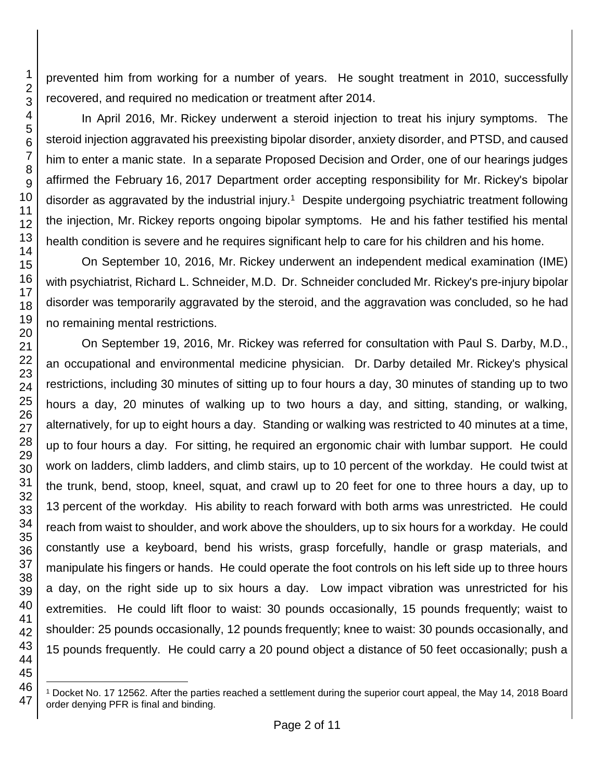prevented him from working for a number of years. He sought treatment in 2010, successfully recovered, and required no medication or treatment after 2014.

In April 2016, Mr. Rickey underwent a steroid injection to treat his injury symptoms. The steroid injection aggravated his preexisting bipolar disorder, anxiety disorder, and PTSD, and caused him to enter a manic state. In a separate Proposed Decision and Order, one of our hearings judges affirmed the February 16, 2017 Department order accepting responsibility for Mr. Rickey's bipolar disorder as aggravated by the industrial injury.<sup>1</sup> Despite undergoing psychiatric treatment following the injection, Mr. Rickey reports ongoing bipolar symptoms. He and his father testified his mental health condition is severe and he requires significant help to care for his children and his home.

On September 10, 2016, Mr. Rickey underwent an independent medical examination (IME) with psychiatrist, Richard L. Schneider, M.D. Dr. Schneider concluded Mr. Rickey's pre-injury bipolar disorder was temporarily aggravated by the steroid, and the aggravation was concluded, so he had no remaining mental restrictions.

On September 19, 2016, Mr. Rickey was referred for consultation with Paul S. Darby, M.D., an occupational and environmental medicine physician. Dr. Darby detailed Mr. Rickey's physical restrictions, including 30 minutes of sitting up to four hours a day, 30 minutes of standing up to two hours a day, 20 minutes of walking up to two hours a day, and sitting, standing, or walking, alternatively, for up to eight hours a day. Standing or walking was restricted to 40 minutes at a time, up to four hours a day. For sitting, he required an ergonomic chair with lumbar support. He could work on ladders, climb ladders, and climb stairs, up to 10 percent of the workday. He could twist at the trunk, bend, stoop, kneel, squat, and crawl up to 20 feet for one to three hours a day, up to percent of the workday. His ability to reach forward with both arms was unrestricted. He could reach from waist to shoulder, and work above the shoulders, up to six hours for a workday. He could constantly use a keyboard, bend his wrists, grasp forcefully, handle or grasp materials, and manipulate his fingers or hands. He could operate the foot controls on his left side up to three hours a day, on the right side up to six hours a day. Low impact vibration was unrestricted for his extremities. He could lift floor to waist: 30 pounds occasionally, 15 pounds frequently; waist to shoulder: 25 pounds occasionally, 12 pounds frequently; knee to waist: 30 pounds occasionally, and 15 pounds frequently. He could carry a 20 pound object a distance of 50 feet occasionally; push a

l

 Docket No. 17 12562. After the parties reached a settlement during the superior court appeal, the May 14, 2018 Board order denying PFR is final and binding.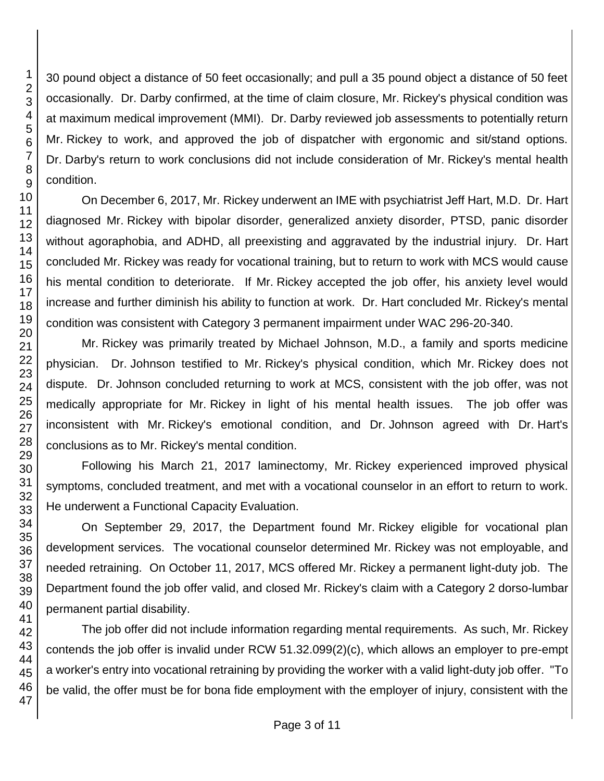30 pound object a distance of 50 feet occasionally; and pull a 35 pound object a distance of 50 feet occasionally. Dr. Darby confirmed, at the time of claim closure, Mr. Rickey's physical condition was at maximum medical improvement (MMI). Dr. Darby reviewed job assessments to potentially return Mr. Rickey to work, and approved the job of dispatcher with ergonomic and sit/stand options. Dr. Darby's return to work conclusions did not include consideration of Mr. Rickey's mental health condition.

On December 6, 2017, Mr. Rickey underwent an IME with psychiatrist Jeff Hart, M.D. Dr. Hart diagnosed Mr. Rickey with bipolar disorder, generalized anxiety disorder, PTSD, panic disorder without agoraphobia, and ADHD, all preexisting and aggravated by the industrial injury. Dr. Hart concluded Mr. Rickey was ready for vocational training, but to return to work with MCS would cause his mental condition to deteriorate. If Mr. Rickey accepted the job offer, his anxiety level would increase and further diminish his ability to function at work. Dr. Hart concluded Mr. Rickey's mental condition was consistent with Category 3 permanent impairment under WAC 296-20-340.

Mr. Rickey was primarily treated by Michael Johnson, M.D., a family and sports medicine physician. Dr. Johnson testified to Mr. Rickey's physical condition, which Mr. Rickey does not dispute. Dr. Johnson concluded returning to work at MCS, consistent with the job offer, was not medically appropriate for Mr. Rickey in light of his mental health issues. The job offer was inconsistent with Mr. Rickey's emotional condition, and Dr. Johnson agreed with Dr. Hart's conclusions as to Mr. Rickey's mental condition.

Following his March 21, 2017 laminectomy, Mr. Rickey experienced improved physical symptoms, concluded treatment, and met with a vocational counselor in an effort to return to work. He underwent a Functional Capacity Evaluation.

On September 29, 2017, the Department found Mr. Rickey eligible for vocational plan development services. The vocational counselor determined Mr. Rickey was not employable, and needed retraining. On October 11, 2017, MCS offered Mr. Rickey a permanent light-duty job. The Department found the job offer valid, and closed Mr. Rickey's claim with a Category 2 dorso-lumbar permanent partial disability.

The job offer did not include information regarding mental requirements. As such, Mr. Rickey contends the job offer is invalid under RCW 51.32.099(2)(c), which allows an employer to pre-empt a worker's entry into vocational retraining by providing the worker with a valid light-duty job offer. "To be valid, the offer must be for bona fide employment with the employer of injury, consistent with the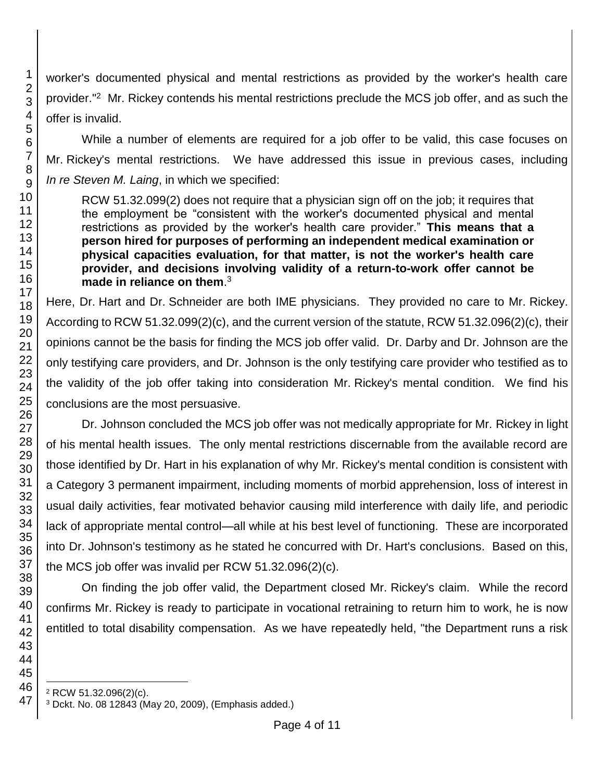worker's documented physical and mental restrictions as provided by the worker's health care provider."<sup>2</sup> Mr. Rickey contends his mental restrictions preclude the MCS job offer, and as such the offer is invalid.

While a number of elements are required for a job offer to be valid, this case focuses on Mr. Rickey's mental restrictions. We have addressed this issue in previous cases, including *In re Steven M. Laing*, in which we specified:

RCW 51.32.099(2) does not require that a physician sign off on the job; it requires that the employment be "consistent with the worker's documented physical and mental restrictions as provided by the worker's health care provider." **This means that a person hired for purposes of performing an independent medical examination or physical capacities evaluation, for that matter, is not the worker's health care provider, and decisions involving validity of a return-to-work offer cannot be made in reliance on them**. 3

Here, Dr. Hart and Dr. Schneider are both IME physicians. They provided no care to Mr. Rickey. According to RCW 51.32.099(2)(c), and the current version of the statute, RCW 51.32.096(2)(c), their opinions cannot be the basis for finding the MCS job offer valid. Dr. Darby and Dr. Johnson are the only testifying care providers, and Dr. Johnson is the only testifying care provider who testified as to the validity of the job offer taking into consideration Mr. Rickey's mental condition. We find his conclusions are the most persuasive.

Dr. Johnson concluded the MCS job offer was not medically appropriate for Mr. Rickey in light of his mental health issues. The only mental restrictions discernable from the available record are those identified by Dr. Hart in his explanation of why Mr. Rickey's mental condition is consistent with a Category 3 permanent impairment, including moments of morbid apprehension, loss of interest in usual daily activities, fear motivated behavior causing mild interference with daily life, and periodic lack of appropriate mental control—all while at his best level of functioning. These are incorporated into Dr. Johnson's testimony as he stated he concurred with Dr. Hart's conclusions. Based on this, the MCS job offer was invalid per RCW 51.32.096(2)(c).

On finding the job offer valid, the Department closed Mr. Rickey's claim. While the record confirms Mr. Rickey is ready to participate in vocational retraining to return him to work, he is now entitled to total disability compensation. As we have repeatedly held, "the Department runs a risk

l RCW 51.32.096(2)(c).

Dckt. No. 08 12843 (May 20, 2009), (Emphasis added.)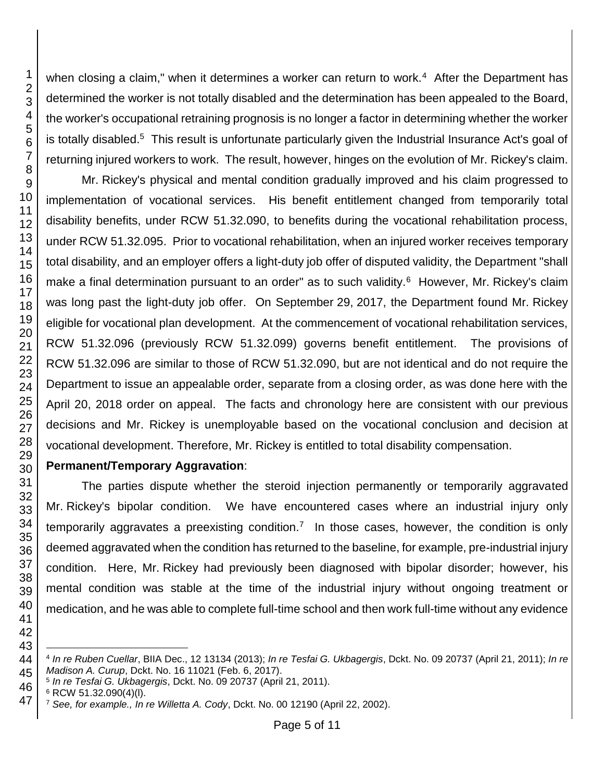when closing a claim," when it determines a worker can return to work.<sup>4</sup> After the Department has determined the worker is not totally disabled and the determination has been appealed to the Board, the worker's occupational retraining prognosis is no longer a factor in determining whether the worker is totally disabled.<sup>5</sup> This result is unfortunate particularly given the Industrial Insurance Act's goal of returning injured workers to work. The result, however, hinges on the evolution of Mr. Rickey's claim.

Mr. Rickey's physical and mental condition gradually improved and his claim progressed to implementation of vocational services. His benefit entitlement changed from temporarily total disability benefits, under RCW 51.32.090, to benefits during the vocational rehabilitation process, under RCW 51.32.095. Prior to vocational rehabilitation, when an injured worker receives temporary total disability, and an employer offers a light-duty job offer of disputed validity, the Department "shall make a final determination pursuant to an order" as to such validity.<sup>6</sup> However, Mr. Rickey's claim was long past the light-duty job offer. On September 29, 2017, the Department found Mr. Rickey eligible for vocational plan development. At the commencement of vocational rehabilitation services, RCW 51.32.096 (previously RCW 51.32.099) governs benefit entitlement. The provisions of RCW 51.32.096 are similar to those of RCW 51.32.090, but are not identical and do not require the Department to issue an appealable order, separate from a closing order, as was done here with the April 20, 2018 order on appeal. The facts and chronology here are consistent with our previous decisions and Mr. Rickey is unemployable based on the vocational conclusion and decision at vocational development. Therefore, Mr. Rickey is entitled to total disability compensation.

## **Permanent/Temporary Aggravation**:

The parties dispute whether the steroid injection permanently or temporarily aggravated Mr. Rickey's bipolar condition. We have encountered cases where an industrial injury only temporarily aggravates a preexisting condition.<sup>7</sup> In those cases, however, the condition is only deemed aggravated when the condition has returned to the baseline, for example, pre-industrial injury condition. Here, Mr. Rickey had previously been diagnosed with bipolar disorder; however, his mental condition was stable at the time of the industrial injury without ongoing treatment or medication, and he was able to complete full-time school and then work full-time without any evidence

l *In re Ruben Cuellar*, BIIA Dec., 12 13134 (2013); *In re Tesfai G. Ukbagergis*, Dckt. No. 09 20737 (April 21, 2011); *In re Madison A. Curup*, Dckt. No. 16 11021 (Feb. 6, 2017).

*In re Tesfai G. Ukbagergis*, Dckt. No. 09 20737 (April 21, 2011).

RCW 51.32.090(4)(l).

*See, for example., In re Willetta A. Cody*, Dckt. No. 00 12190 (April 22, 2002).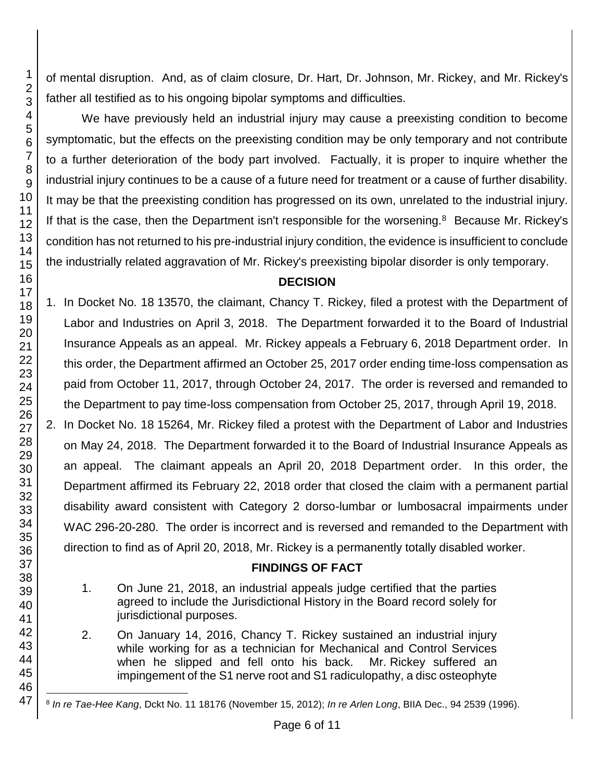of mental disruption. And, as of claim closure, Dr. Hart, Dr. Johnson, Mr. Rickey, and Mr. Rickey's father all testified as to his ongoing bipolar symptoms and difficulties.

We have previously held an industrial injury may cause a preexisting condition to become symptomatic, but the effects on the preexisting condition may be only temporary and not contribute to a further deterioration of the body part involved. Factually, it is proper to inquire whether the industrial injury continues to be a cause of a future need for treatment or a cause of further disability. It may be that the preexisting condition has progressed on its own, unrelated to the industrial injury. If that is the case, then the Department isn't responsible for the worsening.<sup>8</sup> Because Mr. Rickey's condition has not returned to his pre-industrial injury condition, the evidence is insufficient to conclude the industrially related aggravation of Mr. Rickey's preexisting bipolar disorder is only temporary.

## **DECISION**

1. In Docket No. 18 13570, the claimant, Chancy T. Rickey, filed a protest with the Department of Labor and Industries on April 3, 2018. The Department forwarded it to the Board of Industrial Insurance Appeals as an appeal. Mr. Rickey appeals a February 6, 2018 Department order. In this order, the Department affirmed an October 25, 2017 order ending time-loss compensation as paid from October 11, 2017, through October 24, 2017. The order is reversed and remanded to the Department to pay time-loss compensation from October 25, 2017, through April 19, 2018.

2. In Docket No. 18 15264, Mr. Rickey filed a protest with the Department of Labor and Industries on May 24, 2018. The Department forwarded it to the Board of Industrial Insurance Appeals as an appeal. The claimant appeals an April 20, 2018 Department order. In this order, the Department affirmed its February 22, 2018 order that closed the claim with a permanent partial disability award consistent with Category 2 dorso-lumbar or lumbosacral impairments under WAC 296-20-280. The order is incorrect and is reversed and remanded to the Department with direction to find as of April 20, 2018, Mr. Rickey is a permanently totally disabled worker.

## **FINDINGS OF FACT**

- 1. On June 21, 2018, an industrial appeals judge certified that the parties agreed to include the Jurisdictional History in the Board record solely for jurisdictional purposes.
- 2. On January 14, 2016, Chancy T. Rickey sustained an industrial injury while working for as a technician for Mechanical and Control Services when he slipped and fell onto his back. Mr. Rickey suffered an impingement of the S1 nerve root and S1 radiculopathy, a disc osteophyte

l 8 *In re Tae-Hee Kang*, Dckt No. 11 18176 (November 15, 2012); *In re Arlen Long*, BIIA Dec., 94 2539 (1996).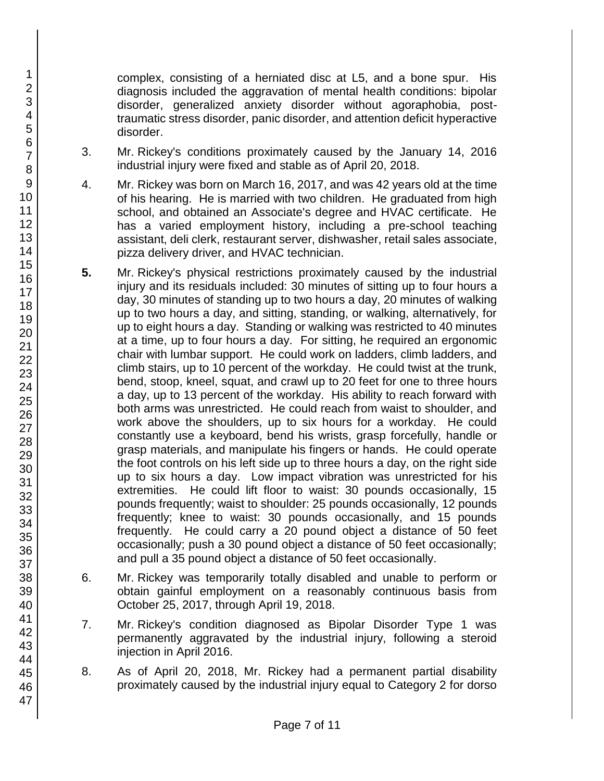complex, consisting of a herniated disc at L5, and a bone spur. His diagnosis included the aggravation of mental health conditions: bipolar disorder, generalized anxiety disorder without agoraphobia, posttraumatic stress disorder, panic disorder, and attention deficit hyperactive disorder.

- 3. Mr. Rickey's conditions proximately caused by the January 14, 2016 industrial injury were fixed and stable as of April 20, 2018.
- 4. Mr. Rickey was born on March 16, 2017, and was 42 years old at the time of his hearing. He is married with two children. He graduated from high school, and obtained an Associate's degree and HVAC certificate. He has a varied employment history, including a pre-school teaching assistant, deli clerk, restaurant server, dishwasher, retail sales associate, pizza delivery driver, and HVAC technician.
- **5.** Mr. Rickey's physical restrictions proximately caused by the industrial injury and its residuals included: 30 minutes of sitting up to four hours a day, 30 minutes of standing up to two hours a day, 20 minutes of walking up to two hours a day, and sitting, standing, or walking, alternatively, for up to eight hours a day. Standing or walking was restricted to 40 minutes at a time, up to four hours a day. For sitting, he required an ergonomic chair with lumbar support. He could work on ladders, climb ladders, and climb stairs, up to 10 percent of the workday. He could twist at the trunk, bend, stoop, kneel, squat, and crawl up to 20 feet for one to three hours a day, up to 13 percent of the workday. His ability to reach forward with both arms was unrestricted. He could reach from waist to shoulder, and work above the shoulders, up to six hours for a workday. He could constantly use a keyboard, bend his wrists, grasp forcefully, handle or grasp materials, and manipulate his fingers or hands. He could operate the foot controls on his left side up to three hours a day, on the right side up to six hours a day. Low impact vibration was unrestricted for his extremities. He could lift floor to waist: 30 pounds occasionally, 15 pounds frequently; waist to shoulder: 25 pounds occasionally, 12 pounds frequently; knee to waist: 30 pounds occasionally, and 15 pounds frequently. He could carry a 20 pound object a distance of 50 feet occasionally; push a 30 pound object a distance of 50 feet occasionally; and pull a 35 pound object a distance of 50 feet occasionally.
- 6. Mr. Rickey was temporarily totally disabled and unable to perform or obtain gainful employment on a reasonably continuous basis from October 25, 2017, through April 19, 2018.
- 7. Mr. Rickey's condition diagnosed as Bipolar Disorder Type 1 was permanently aggravated by the industrial injury, following a steroid injection in April 2016.
- 8. As of April 20, 2018, Mr. Rickey had a permanent partial disability proximately caused by the industrial injury equal to Category 2 for dorso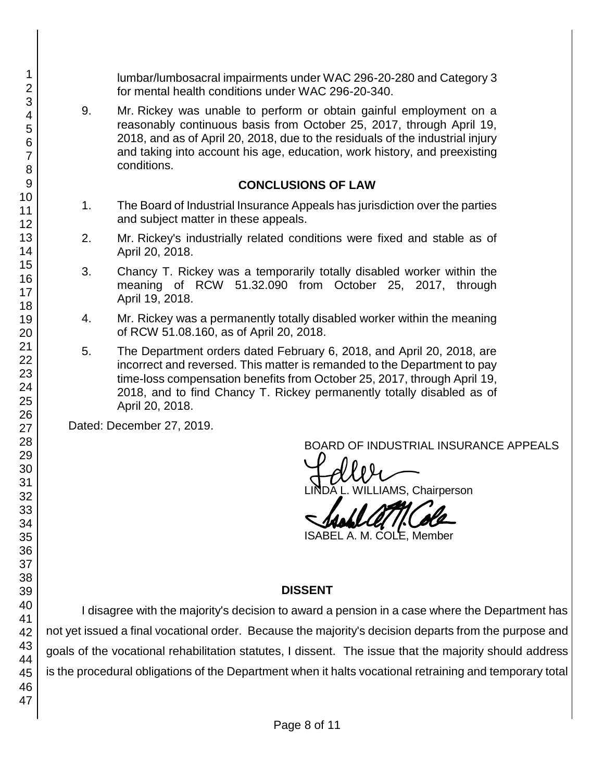lumbar/lumbosacral impairments under WAC 296-20-280 and Category 3 for mental health conditions under WAC 296-20-340.

9. Mr. Rickey was unable to perform or obtain gainful employment on a reasonably continuous basis from October 25, 2017, through April 19, 2018, and as of April 20, 2018, due to the residuals of the industrial injury and taking into account his age, education, work history, and preexisting conditions.

#### **CONCLUSIONS OF LAW**

- 1. The Board of Industrial Insurance Appeals has jurisdiction over the parties and subject matter in these appeals.
- 2. Mr. Rickey's industrially related conditions were fixed and stable as of April 20, 2018.
- 3. Chancy T. Rickey was a temporarily totally disabled worker within the meaning of RCW 51.32.090 from October 25, 2017, through April 19, 2018.
- 4. Mr. Rickey was a permanently totally disabled worker within the meaning of RCW 51.08.160, as of April 20, 2018.
- 5. The Department orders dated February 6, 2018, and April 20, 2018, are incorrect and reversed. This matter is remanded to the Department to pay time-loss compensation benefits from October 25, 2017, through April 19, 2018, and to find Chancy T. Rickey permanently totally disabled as of April 20, 2018.

Dated: December 27, 2019.

BOARD OF INDUSTRIAL INSURANCE APPEALS<br>
LINDA L. WILLIAMS, Chairperson

ISABEL A. M. COLE, Member

## **DISSENT**

I disagree with the majority's decision to award a pension in a case where the Department has not yet issued a final vocational order. Because the majority's decision departs from the purpose and goals of the vocational rehabilitation statutes, I dissent. The issue that the majority should address is the procedural obligations of the Department when it halts vocational retraining and temporary total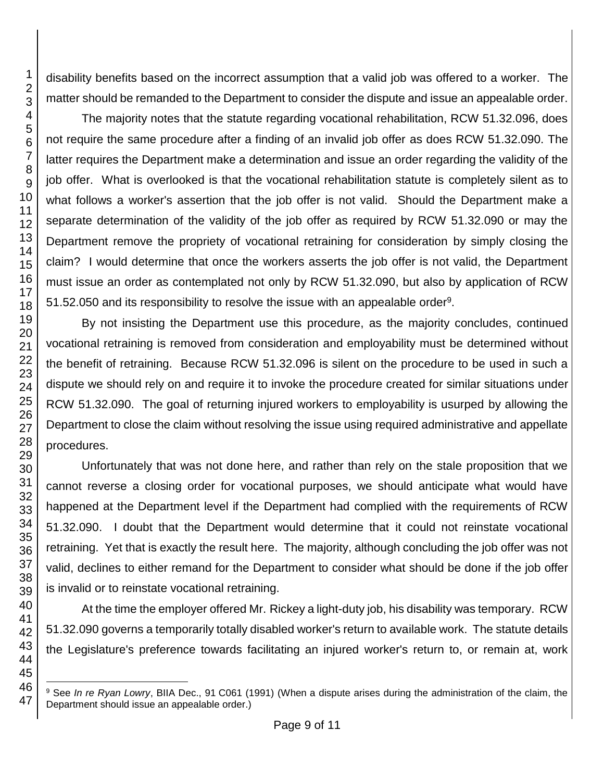disability benefits based on the incorrect assumption that a valid job was offered to a worker. The matter should be remanded to the Department to consider the dispute and issue an appealable order.

The majority notes that the statute regarding vocational rehabilitation, RCW 51.32.096, does not require the same procedure after a finding of an invalid job offer as does RCW 51.32.090. The latter requires the Department make a determination and issue an order regarding the validity of the job offer. What is overlooked is that the vocational rehabilitation statute is completely silent as to what follows a worker's assertion that the job offer is not valid. Should the Department make a separate determination of the validity of the job offer as required by RCW 51.32.090 or may the Department remove the propriety of vocational retraining for consideration by simply closing the claim? I would determine that once the workers asserts the job offer is not valid, the Department must issue an order as contemplated not only by RCW 51.32.090, but also by application of RCW 51.52.050 and its responsibility to resolve the issue with an appealable order<sup>9</sup>.

By not insisting the Department use this procedure, as the majority concludes, continued vocational retraining is removed from consideration and employability must be determined without the benefit of retraining. Because RCW 51.32.096 is silent on the procedure to be used in such a dispute we should rely on and require it to invoke the procedure created for similar situations under RCW 51.32.090. The goal of returning injured workers to employability is usurped by allowing the Department to close the claim without resolving the issue using required administrative and appellate procedures.

Unfortunately that was not done here, and rather than rely on the stale proposition that we cannot reverse a closing order for vocational purposes, we should anticipate what would have happened at the Department level if the Department had complied with the requirements of RCW 51.32.090. I doubt that the Department would determine that it could not reinstate vocational retraining. Yet that is exactly the result here. The majority, although concluding the job offer was not valid, declines to either remand for the Department to consider what should be done if the job offer is invalid or to reinstate vocational retraining.

At the time the employer offered Mr. Rickey a light-duty job, his disability was temporary. RCW 51.32.090 governs a temporarily totally disabled worker's return to available work. The statute details the Legislature's preference towards facilitating an injured worker's return to, or remain at, work

l <sup>9</sup> See *In re Ryan Lowry*, BIIA Dec., 91 C061 (1991) (When a dispute arises during the administration of the claim, the Department should issue an appealable order.)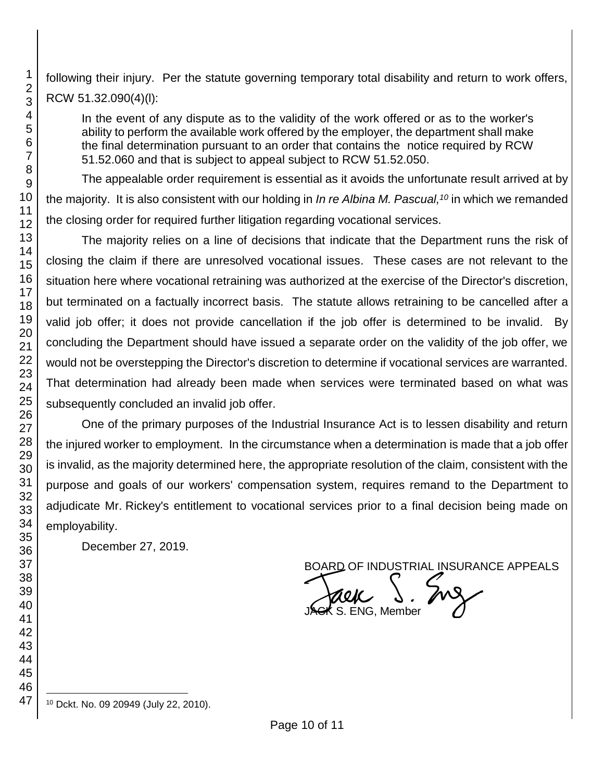following their injury. Per the statute governing temporary total disability and return to work offers, RCW 51.32.090(4)(l):

In the event of any dispute as to the validity of the work offered or as to the worker's ability to perform the available work offered by the employer, the department shall make the final determination pursuant to an order that contains the notice required by RCW 51.52.060 and that is subject to appeal subject to RCW 51.52.050.

The appealable order requirement is essential as it avoids the unfortunate result arrived at by the majority. It is also consistent with our holding in *In re Albina M. Pascual, <sup>10</sup>* in which we remanded the closing order for required further litigation regarding vocational services.

The majority relies on a line of decisions that indicate that the Department runs the risk of closing the claim if there are unresolved vocational issues. These cases are not relevant to the situation here where vocational retraining was authorized at the exercise of the Director's discretion, but terminated on a factually incorrect basis. The statute allows retraining to be cancelled after a valid job offer; it does not provide cancellation if the job offer is determined to be invalid. By concluding the Department should have issued a separate order on the validity of the job offer, we would not be overstepping the Director's discretion to determine if vocational services are warranted. That determination had already been made when services were terminated based on what was subsequently concluded an invalid job offer.

One of the primary purposes of the Industrial Insurance Act is to lessen disability and return the injured worker to employment. In the circumstance when a determination is made that a job offer is invalid, as the majority determined here, the appropriate resolution of the claim, consistent with the purpose and goals of our workers' compensation system, requires remand to the Department to adjudicate Mr. Rickey's entitlement to vocational services prior to a final decision being made on employability.

December 27, 2019.

BOARD OF INDUSTRIAL INSURANCE APPEALS<br>
JACK S. ENG, Member